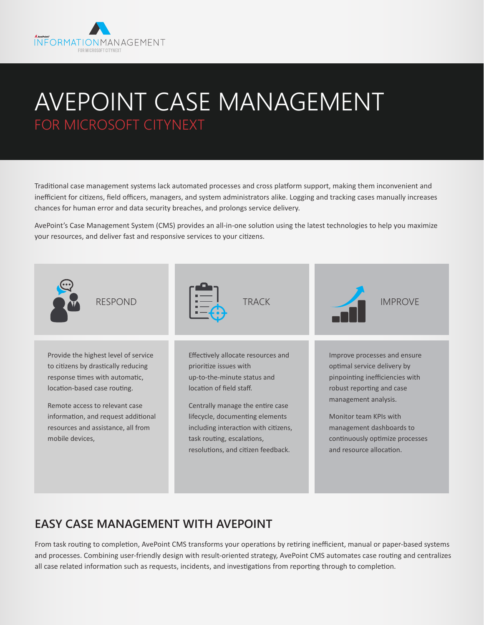

# AVEPOINT CASE MANAGEMENT FOR MICROSOFT CITYNEXT

Traditional case management systems lack automated processes and cross platform support, making them inconvenient and inefficient for citizens, field officers, managers, and system administrators alike. Logging and tracking cases manually increases chances for human error and data security breaches, and prolongs service delivery.

AvePoint's Case Management System (CMS) provides an all-in-one solution using the latest technologies to help you maximize your resources, and deliver fast and responsive services to your citizens.



## **EASY CASE MANAGEMENT WITH AVEPOINT**

From task routing to completion, AvePoint CMS transforms your operations by retiring inefficient, manual or paper-based systems and processes. Combining user-friendly design with result-oriented strategy, AvePoint CMS automates case routing and centralizes all case related information such as requests, incidents, and investigations from reporting through to completion.